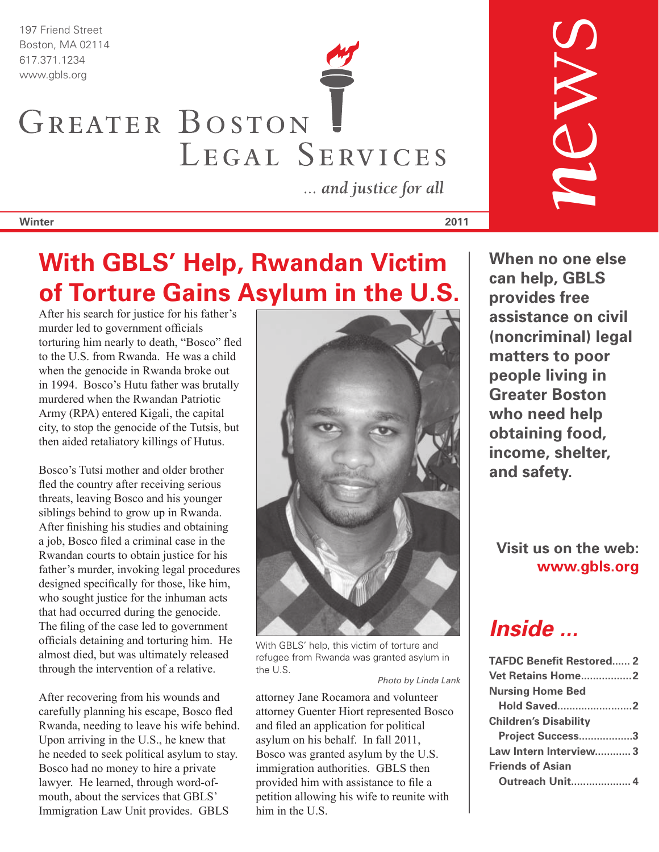197 Friend Street Boston, MA 02114

# 617.371.1234 www.gbls.org GREATER BOSTON LEGAL SERVICES

... and justice for all

**Winter 2011**

## **With GBLS' Help, Rwandan Victim of Torture Gains Asylum in the U.S.**

After his search for justice for his father's murder led to government officials torturing him nearly to death, "Bosco" fled to the U.S. from Rwanda. He was a child when the genocide in Rwanda broke out in 1994. Bosco's Hutu father was brutally murdered when the Rwandan Patriotic Army (RPA) entered Kigali, the capital city, to stop the genocide of the Tutsis, but then aided retaliatory killings of Hutus.

Bosco's Tutsi mother and older brother fled the country after receiving serious threats, leaving Bosco and his younger siblings behind to grow up in Rwanda. After finishing his studies and obtaining a job, Bosco filed a criminal case in the Rwandan courts to obtain justice for his father's murder, invoking legal procedures designed specifically for those, like him, who sought justice for the inhuman acts that had occurred during the genocide. The filing of the case led to government officials detaining and torturing him.  He almost died, but was ultimately released through the intervention of a relative.

After recovering from his wounds and carefully planning his escape, Bosco fled Rwanda, needing to leave his wife behind. Upon arriving in the U.S., he knew that he needed to seek political asylum to stay. Bosco had no money to hire a private lawyer. He learned, through word-ofmouth, about the services that GBLS' Immigration Law Unit provides. GBLS



With GBLS' help, this victim of torture and refugee from Rwanda was granted asylum in the U.S.

*Photo by Linda Lank*

attorney Jane Rocamora and volunteer attorney Guenter Hiort represented Bosco and filed an application for political asylum on his behalf. In fall 2011, Bosco was granted asylum by the U.S. immigration authorities. GBLS then provided him with assistance to file a petition allowing his wife to reunite with him in the U.S.

**When no one else can help, GBLS provides free assistance on civil (noncriminal) legal matters to poor people living in Greater Boston who need help obtaining food, income, shelter, and safety.**

*n*ews

**Visit us on the web: www.gbls.org**

*Inside ...*

| <b>TAFDC Benefit Restored 2</b> |  |
|---------------------------------|--|
| Vet Retains Home2               |  |
| <b>Nursing Home Bed</b>         |  |
| <b>Hold Saved2</b>              |  |
| <b>Children's Disability</b>    |  |
| Project Success3                |  |
| Law Intern Interview 3          |  |
| <b>Friends of Asian</b>         |  |
| <b>Outreach Unit</b> 4          |  |
|                                 |  |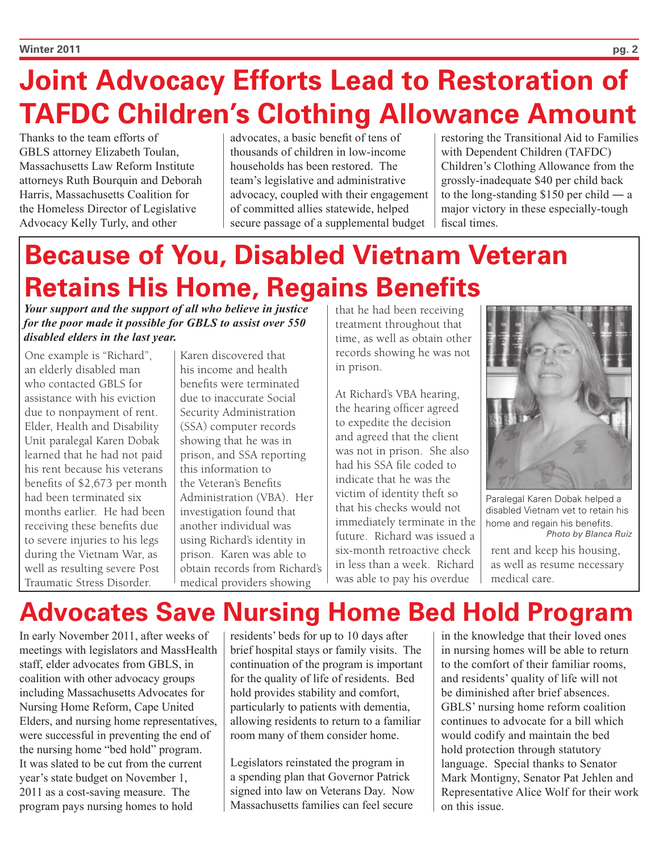# **Joint Advocacy Efforts Lead to Restoration of TAFDC Children's Clothing Allowance Amount**

Thanks to the team efforts of GBLS attorney Elizabeth Toulan, Massachusetts Law Reform Institute attorneys Ruth Bourquin and Deborah Harris, Massachusetts Coalition for the Homeless Director of Legislative Advocacy Kelly Turly, and other

advocates, a basic benefit of tens of thousands of children in low-income households has been restored. The team's legislative and administrative advocacy, coupled with their engagement of committed allies statewide, helped secure passage of a supplemental budget

restoring the Transitional Aid to Families with Dependent Children (TAFDC) Children's Clothing Allowance from the grossly-inadequate \$40 per child back to the long-standing \$150 per child ― a major victory in these especially-tough fiscal times.

# **Because of You, Disabled Vietnam Veteran Retains His Home, Regains Benefits**

*Your support and the support of all who believe in justice for the poor made it possible for GBLS to assist over 550 disabled elders in the last year.* 

One example is "Richard", an elderly disabled man who contacted GBLS for assistance with his eviction due to nonpayment of rent. Elder, Health and Disability Unit paralegal Karen Dobak learned that he had not paid his rent because his veterans benefits of \$2,673 per month had been terminated six months earlier. He had been receiving these benefits due to severe injuries to his legs during the Vietnam War, as well as resulting severe Post Traumatic Stress Disorder.

Karen discovered that his income and health benefits were terminated due to inaccurate Social Security Administration (SSA) computer records showing that he was in prison, and SSA reporting this information to the Veteran's Benefits Administration (VBA). Her investigation found that another individual was using Richard's identity in prison. Karen was able to obtain records from Richard's medical providers showing

that he had been receiving treatment throughout that time, as well as obtain other records showing he was not in prison.

At Richard's VBA hearing, the hearing officer agreed to expedite the decision and agreed that the client was not in prison. She also had his SSA file coded to indicate that he was the victim of identity theft so that his checks would not immediately terminate in the future. Richard was issued a six-month retroactive check in less than a week. Richard was able to pay his overdue



Paralegal Karen Dobak helped a disabled Vietnam vet to retain his home and regain his benefits. *Photo by Blanca Ruiz*

rent and keep his housing, as well as resume necessary medical care.

## **Advocates Save Nursing Home Bed Hold Program**

In early November 2011, after weeks of meetings with legislators and MassHealth staff, elder advocates from GBLS, in coalition with other advocacy groups including Massachusetts Advocates for Nursing Home Reform, Cape United Elders, and nursing home representatives, were successful in preventing the end of the nursing home "bed hold" program. It was slated to be cut from the current year's state budget on November 1, 2011 as a cost-saving measure. The program pays nursing homes to hold

residents' beds for up to 10 days after brief hospital stays or family visits. The continuation of the program is important for the quality of life of residents. Bed hold provides stability and comfort, particularly to patients with dementia, allowing residents to return to a familiar room many of them consider home.

Legislators reinstated the program in a spending plan that Governor Patrick signed into law on Veterans Day. Now Massachusetts families can feel secure in the knowledge that their loved ones in nursing homes will be able to return to the comfort of their familiar rooms, and residents' quality of life will not be diminished after brief absences. GBLS' nursing home reform coalition continues to advocate for a bill which would codify and maintain the bed hold protection through statutory language. Special thanks to Senator Mark Montigny, Senator Pat Jehlen and Representative Alice Wolf for their work on this issue.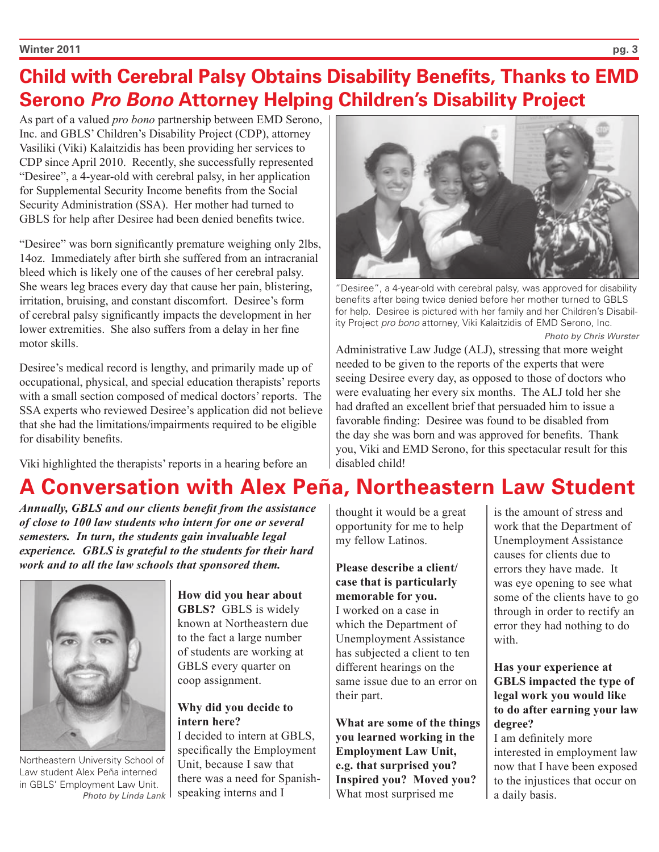### **Child with Cerebral Palsy Obtains Disability Benefits, Thanks to EMD Serono** *Pro Bono* **Attorney Helping Children's Disability Project**

As part of a valued *pro bono* partnership between EMD Serono, Inc. and GBLS' Children's Disability Project (CDP), attorney Vasiliki (Viki) Kalaitzidis has been providing her services to CDP since April 2010. Recently, she successfully represented "Desiree", a 4-year-old with cerebral palsy, in her application for Supplemental Security Income benefits from the Social Security Administration (SSA). Her mother had turned to GBLS for help after Desiree had been denied benefits twice.

"Desiree" was born significantly premature weighing only 2lbs, 14oz. Immediately after birth she suffered from an intracranial bleed which is likely one of the causes of her cerebral palsy. She wears leg braces every day that cause her pain, blistering, irritation, bruising, and constant discomfort. Desiree's form of cerebral palsy significantly impacts the development in her lower extremities. She also suffers from a delay in her fine motor skills.

Desiree's medical record is lengthy, and primarily made up of occupational, physical, and special education therapists' reports with a small section composed of medical doctors' reports. The SSA experts who reviewed Desiree's application did not believe that she had the limitations/impairments required to be eligible for disability benefits.

Viki highlighted the therapists' reports in a hearing before an

### **A Conversation with Alex Peña, Northeastern Law Student**

*Annually, GBLS and our clients benefit from the assistance of close to 100 law students who intern for one or several semesters. In turn, the students gain invaluable legal experience. GBLS is grateful to the students for their hard work and to all the law schools that sponsored them.* 



Northeastern University School of Law student Alex Peña interned in GBLS' Employment Law Unit. *Photo by Linda Lank*

**How did you hear about GBLS?** GBLS is widely known at Northeastern due to the fact a large number of students are working at GBLS every quarter on coop assignment.

#### **Why did you decide to intern here?**

I decided to intern at GBLS, specifically the Employment Unit, because I saw that there was a need for Spanishspeaking interns and I



"Desiree", a 4-year-old with cerebral palsy, was approved for disability benefits after being twice denied before her mother turned to GBLS for help. Desiree is pictured with her family and her Children's Disability Project *pro bono* attorney, Viki Kalaitzidis of EMD Serono, Inc. *Photo by Chris Wurster*

Administrative Law Judge (ALJ), stressing that more weight needed to be given to the reports of the experts that were seeing Desiree every day, as opposed to those of doctors who were evaluating her every six months. The ALJ told her she had drafted an excellent brief that persuaded him to issue a favorable finding: Desiree was found to be disabled from the day she was born and was approved for benefits. Thank you, Viki and EMD Serono, for this spectacular result for this disabled child!

thought it would be a great opportunity for me to help my fellow Latinos.

**Please describe a client/ case that is particularly memorable for you.** I worked on a case in which the Department of Unemployment Assistance has subjected a client to ten different hearings on the same issue due to an error on their part.

**What are some of the things you learned working in the Employment Law Unit, e.g. that surprised you? Inspired you? Moved you?** What most surprised me

is the amount of stress and work that the Department of Unemployment Assistance causes for clients due to errors they have made. It was eye opening to see what some of the clients have to go through in order to rectify an error they had nothing to do with.

**Has your experience at GBLS impacted the type of legal work you would like to do after earning your law degree?**

I am definitely more interested in employment law now that I have been exposed to the injustices that occur on a daily basis.